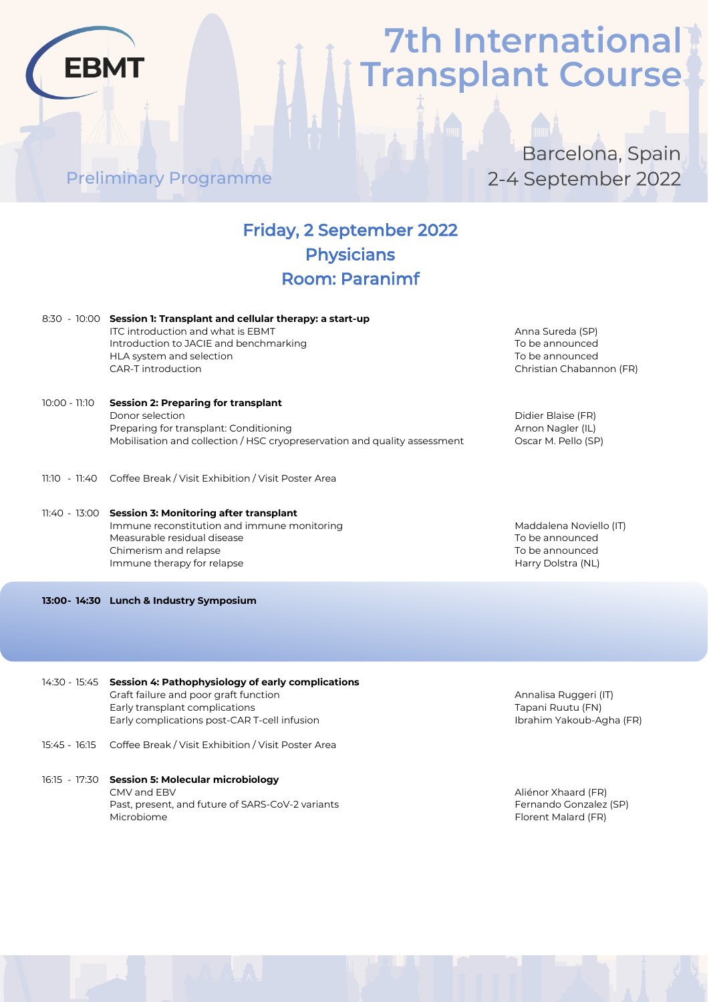Preliminary Programme

**EBMT** 

### Barcelona, Spain 2-4 September 2022

### Friday, 2 September 2022 Physicians Room: Paranimf

|               | 8:30 - 10:00 Session 1: Transplant and cellular therapy: a start-up<br>ITC introduction and what is EBMT<br>Introduction to JACIE and benchmarking<br>HLA system and selection<br>CAR-T introduction | Anna Sureda (SP)<br>To be announced<br>To be announced<br>Christian Chabannon (FR)  |
|---------------|------------------------------------------------------------------------------------------------------------------------------------------------------------------------------------------------------|-------------------------------------------------------------------------------------|
| 10:00 - 11:10 | <b>Session 2: Preparing for transplant</b><br>Donor selection<br>Preparing for transplant: Conditioning<br>Mobilisation and collection / HSC cryopreservation and quality assessment                 | Didier Blaise (FR)<br>Arnon Nagler (IL)<br>Oscar M. Pello (SP)                      |
|               | 11:10 - 11:40 Coffee Break / Visit Exhibition / Visit Poster Area                                                                                                                                    |                                                                                     |
|               | 11:40 - 13:00 Session 3: Monitoring after transplant<br>Immune reconstitution and immune monitoring<br>Measurable residual disease<br>Chimerism and relapse<br>Immune therapy for relapse            | Maddalena Noviello (IT)<br>To be announced<br>To be announced<br>Harry Dolstra (NL) |

**13:00- 14:30 Lunch & Industry Symposium**

- 14:30 15:45 **Session 4: Pathophysiology of early complications** Graft failure and poor graft function and annual state of the Annalisa Ruggeri (IT) Early transplant complications Tapani Ruutu (FN) Early complications post-CAR T-cell infusion Ibrahim Yakoub-Agha (FR)
- 15:45 16:15 Coffee Break / Visit Exhibition / Visit Poster Area
- 16:15 17:30 **Session 5: Molecular microbiology** CMV and EBV Aliénor Xhaard (FR) Past, present, and future of SARS-CoV-2 variants Fernando Gonzalez (SP) Microbiome Florent Malard (FR)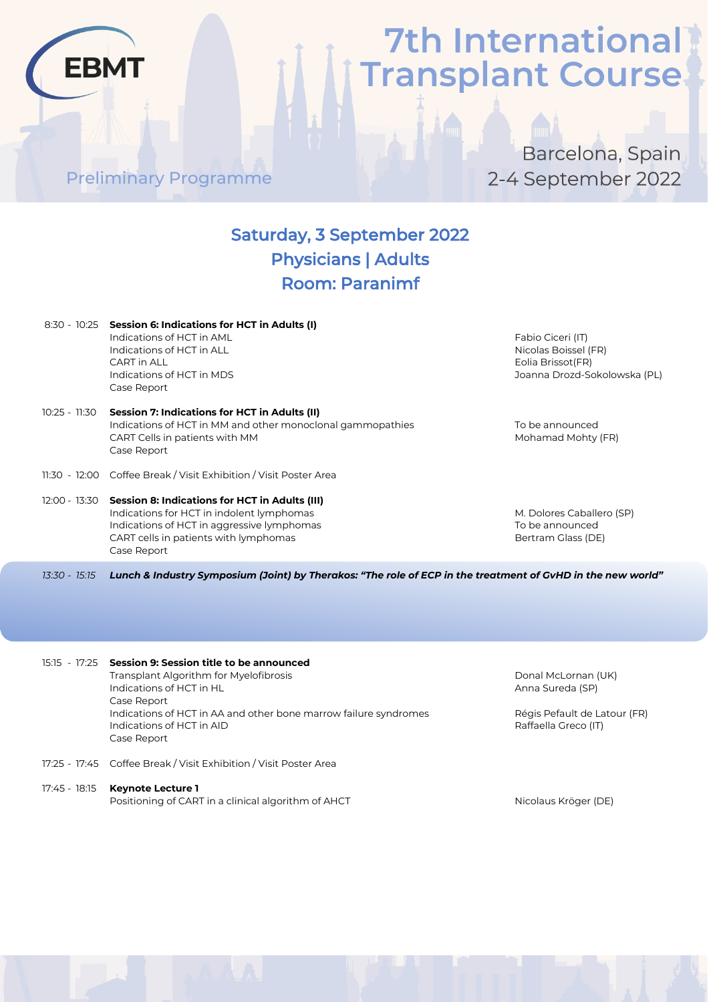Preliminary Programme

**EBMT** 

Barcelona, Spain 2-4 September 2022

### Saturday, 3 September 2022 Physicians | Adults Room: Paranimf

|               | 8:30 - 10:25 Session 6: Indications for HCT in Adults (I)<br>Indications of HCT in AML<br>Indications of HCT in ALL<br>CART in ALL<br>Indications of HCT in MDS<br>Case Report                                  | Fabio Ciceri (IT)<br>Nicolas Boissel (FR)<br>Eolia Brissot (FR)<br>Joanna Drozd-Sokolowska (PL) |
|---------------|-----------------------------------------------------------------------------------------------------------------------------------------------------------------------------------------------------------------|-------------------------------------------------------------------------------------------------|
| 10:25 - 11:30 | Session 7: Indications for HCT in Adults (II)<br>Indications of HCT in MM and other monoclonal gammopathies<br>CART Cells in patients with MM<br>Case Report                                                    | To be announced<br>Mohamad Mohty (FR)                                                           |
|               | 11:30 - 12:00 Coffee Break / Visit Exhibition / Visit Poster Area                                                                                                                                               |                                                                                                 |
|               | 12:00 - 13:30 Session 8: Indications for HCT in Adults (III)<br>Indications for HCT in indolent lymphomas<br>Indications of HCT in aggressive lymphomas<br>CART cells in patients with lymphomas<br>Case Report | M. Dolores Caballero (SP)<br>To be announced<br>Bertram Glass (DE)                              |
| 13:30 - 15:15 | Lunch & Industry Symposium (Joint) by Therakos: "The role of ECP in the treatment of GvHD in the new world"                                                                                                     |                                                                                                 |

15:15 - 17:25 **Session 9: Session title to be announced** Transplant Algorithm for Myelofibrosis Donal McLornan (UK) Indications of HCT in HL Anna Sureda (SP) Case Report Indications of HCT in AA and other bone marrow failure syndromes Régis Pefault de Latour (FR)<br>Indications of HCT in AID Indications of HCT in AID Case Report

- 17:25 17:45 Coffee Break / Visit Exhibition / Visit Poster Area
- 17:45 18:15 **Keynote Lecture 1** Positioning of CART in a clinical algorithm of AHCT Nicolaus Kröger (DE)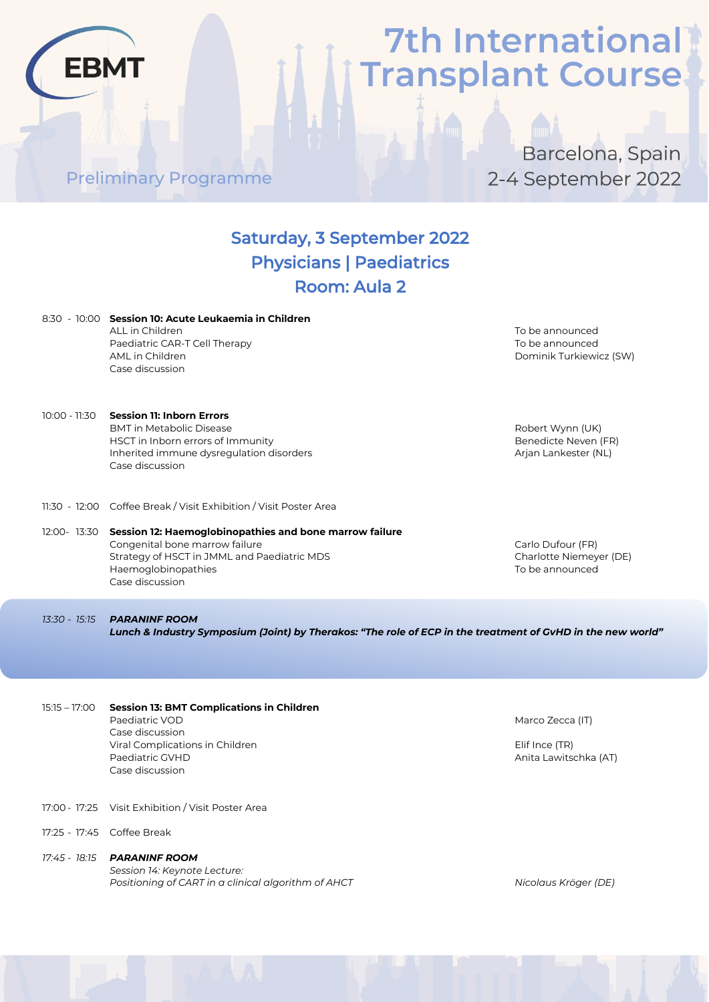Barcelona, Spain 2-4 September 2022

### Saturday, 3 September 2022 Physicians | Paediatrics Room: Aula 2

|                 | 8:30 - 10:00 Session 10: Acute Leukaemia in Children<br>ALL in Children<br>Paediatric CAR-T Cell Therapy<br>AML in Children<br>Case discussion                                                  | To be announced<br>To be announced<br>Dominik Turkiewicz (SW)    |
|-----------------|-------------------------------------------------------------------------------------------------------------------------------------------------------------------------------------------------|------------------------------------------------------------------|
| 10:00 - 11:30   | <b>Session 11: Inborn Errors</b><br><b>BMT</b> in Metabolic Disease<br>HSCT in Inborn errors of Immunity<br>Inherited immune dysregulation disorders<br>Case discussion                         | Robert Wynn (UK)<br>Benedicte Neven (FR)<br>Arjan Lankester (NL) |
|                 | 11:30 - 12:00 Coffee Break / Visit Exhibition / Visit Poster Area                                                                                                                               |                                                                  |
|                 | 12:00- 13:30 Session 12: Haemoglobinopathies and bone marrow failure<br>Congenital bone marrow failure<br>Strategy of HSCT in JMML and Paediatric MDS<br>Haemoglobinopathies<br>Case discussion | Carlo Dufour (FR)<br>Charlotte Niemeyer (DE)<br>To be announced  |
| 13:30 - 15:15   | <b>PARANINF ROOM</b><br>Lunch & Industry Symposium (Joint) by Therakos: "The role of ECP in the treatment of GvHD in the new world'                                                             |                                                                  |
|                 |                                                                                                                                                                                                 |                                                                  |
| $15:15 - 17:00$ | <b>Session 13: BMT Complications in Children</b><br>Paediatric VOD<br>Case discussion<br>Viral Complications in Children<br>Paediatric GVHD<br>Case discussion                                  | Marco Zecca (IT)<br>Elif Ince (TR)<br>Anita Lawitschka (AT)      |

17:00 - 17:25 Visit Exhibition / Visit Poster Area

Preliminary Programme

**EBMT** 

- 17:25 17:45 Coffee Break
- *17:45 - 18:15 PARANINF ROOM Session 14: Keynote Lecture: Positioning of CART in a clinical algorithm of AHCT Nicolaus Kröger (DE)*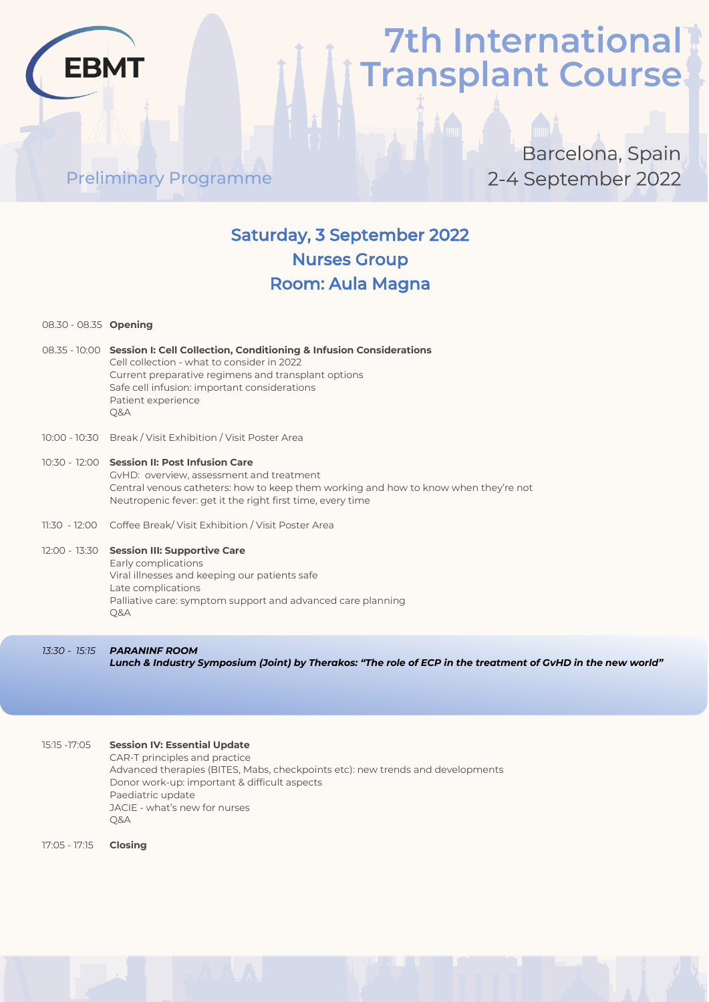### Preliminary Programme

### Barcelona, Spain 2-4 September 2022

### Saturday, 3 September 2022 Nurses Group Room: Aula Magna

08.30 - 08.35 **Opening**

**FRM** 

- 08.35 10:00 **Session I: Cell Collection, Conditioning & Infusion Considerations** Cell collection - what to consider in 2022 Current preparative regimens and transplant options Safe cell infusion: important considerations Patient experience Q&A
- 10:00 10:30 Break / Visit Exhibition / Visit Poster Area
- 10:30 12:00 **Session II: Post Infusion Care** GvHD: overview, assessment and treatment Central venous catheters: how to keep them working and how to know when they're not Neutropenic fever: get it the right first time, every time
- 11:30 12:00 Coffee Break/ Visit Exhibition / Visit Poster Area

#### 12:00 - 13:30 **Session III: Supportive Care**

Early complications Viral illnesses and keeping our patients safe Late complications Palliative care: symptom support and advanced care planning Q&A

*13:30 - 15:15 PARANINF ROOM Lunch & Industry Symposium (Joint) by Therakos: "The role of ECP in the treatment of GvHD in the new world"*

15:15 -17:05 **Session IV: Essential Update** CAR-T principles and practice Advanced therapies (BITES, Mabs, checkpoints etc): new trends and developments Donor work-up: important & difficult aspects Paediatric update JACIE - what's new for nurses Q&A

17:05 - 17:15 **Closing**